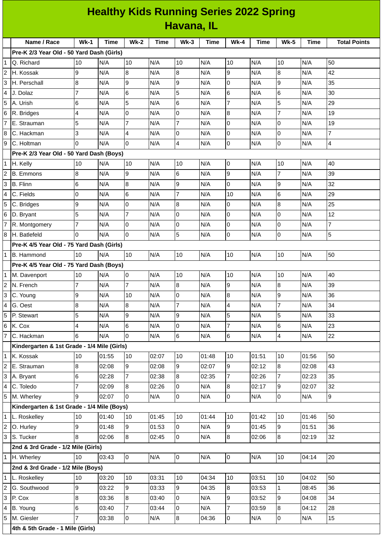|                | <b>Healthy Kids Running Series 2022 Spring</b> |                |             |                 |             |                 |             |                |       |                  |             |                         |
|----------------|------------------------------------------------|----------------|-------------|-----------------|-------------|-----------------|-------------|----------------|-------|------------------|-------------|-------------------------|
|                | Havana, IL                                     |                |             |                 |             |                 |             |                |       |                  |             |                         |
|                | Name / Race                                    | $Wk-1$         | <b>Time</b> | $Wk-2$          | <b>Time</b> | $Wk-3$          | <b>Time</b> | <b>Wk-4</b>    | Time  | <b>Wk-5</b>      | <b>Time</b> | <b>Total Points</b>     |
|                | Pre-K 2/3 Year Old - 50 Yard Dash (Girls)      |                |             |                 |             |                 |             |                |       |                  |             |                         |
| 1              | Q. Richard                                     | 10             | N/A         | 10              | N/A         | 10              | N/A         | 10             | N/A   | 10               | N/A         | 50                      |
| $\overline{c}$ | H. Kossak                                      | 9              | N/A         | 8               | N/A         | 8               | N/A         | 9              | N/A   | $\overline{8}$   | N/A         | 42                      |
| 3              | H. Perschall                                   | 8              | N/A         | 9               | N/A         | 9               | N/A         | 0              | N/A   | 9                | N/A         | 35                      |
| 4              | J. Dolaz                                       | $\overline{7}$ | N/A         | 6               | N/A         | 5               | N/A         | 6              | N/A   | $6\phantom{.}6$  | N/A         | 30                      |
| 5              | A. Urish                                       | 6              | N/A         | 5               | N/A         | 6               | N/A         | $\overline{7}$ | N/A   | 5                | N/A         | 29                      |
| 6              | R. Bridges                                     | 4              | N/A         | 0               | N/A         | 0               | N/A         | 8              | N/A   | $\overline{7}$   | N/A         | 19                      |
| 7              | E. Strauman                                    | 5              | N/A         | $\overline{7}$  | N/A         | $\overline{7}$  | N/A         | $\Omega$       | N/A   | $\overline{0}$   | N/A         | 19                      |
| 8              | C. Hackman                                     | 3              | N/A         | $\overline{4}$  | N/A         | 0               | N/A         | 0              | N/A   | $\overline{0}$   | N/A         | $\overline{7}$          |
| 9              | C. Holtman                                     | $\overline{0}$ | N/A         | 0               | N/A         | 4               | N/A         | 0              | N/A   | 0                | N/A         | $\overline{\mathbf{4}}$ |
|                | Pre-K 2/3 Year Old - 50 Yard Dash (Boys)       |                |             |                 |             |                 |             |                |       |                  |             |                         |
| $\mathbf{1}$   | H. Kelly                                       | 10             | N/A         | 10              | N/A         | 10              | N/A         | 0              | N/A   | 10               | N/A         | 40                      |
|                | <b>B.</b> Emmons                               | 8              | N/A         | 9               | N/A         | 6               | N/A         | 9              | N/A   | $\overline{7}$   | N/A         | 39                      |
| 3              | B. Flinn                                       | 6              | N/A         | $\bf{8}$        | N/A         | 9               | N/A         | 0              | N/A   | $\boldsymbol{9}$ | N/A         | 32                      |
| 4              | C. Fields                                      | 0              | N/A         | $6\phantom{.}6$ | N/A         | $\overline{7}$  | N/A         | 10             | N/A   | $6\phantom{1}6$  | N/A         | 29                      |
| 5              | C. Bridges                                     | 9              | N/A         | 0               | N/A         | 8               | N/A         | 0              | N/A   | $\bf{8}$         | N/A         | 25                      |
| 6              | D. Bryant                                      | 5              | N/A         | $\overline{7}$  | N/A         | $\Omega$        | N/A         | 0              | N/A   | O                | N/A         | 12                      |
|                | R. Montgomery                                  | 7              | N/A         | 0               | N/A         | 0               | N/A         | 0              | N/A   | 0                | N/A         | $\overline{7}$          |
| 8              | H. Batlefeld                                   | $\Omega$       | N/A         | 0               | N/A         | 5               | N/A         | 0              | N/A   | $\mathsf{O}$     | N/A         | 5                       |
|                | Pre-K 4/5 Year Old - 75 Yard Dash (Girls)      |                |             |                 |             |                 |             |                |       |                  |             |                         |
| $\mathbf{1}$   | <b>B.</b> Hammond                              | 10             | N/A         | 10              | N/A         | 10              | N/A         | 10             | N/A   | 10               | N/A         | 50                      |
|                | Pre-K 4/5 Year Old - 75 Yard Dash (Boys)       |                |             |                 |             |                 |             |                |       |                  |             |                         |
| 1              | M. Davenport                                   | 10             | N/A         | $\overline{0}$  | N/A         | 10              | N/A         | 10             | N/A   | 10               | N/A         | 40                      |
| $\overline{c}$ | N. French                                      | $\overline{7}$ | N/A         | 7               | N/A         | 8               | N/A         | 9              | N/A   | $\bf{8}$         | N/A         | 39                      |
| 3              | C. Young                                       | 9              | N/A         | 10              | N/A         | $\overline{0}$  | N/A         | 8              | N/A   | 9                | N/A         | 36                      |
| 4              | G. Oest                                        | 8              | N/A         | 8               | N/A         | $\overline{7}$  | N/A         | 4              | N/A   | $\overline{7}$   | N/A         | 34                      |
| 5              | P. Stewart                                     | 5              | N/A         | 9               | N/A         | 9               | N/A         | 5              | N/A   | 5                | N/A         | 33                      |
| 6              | K. Cox                                         | 4              | N/A         | $6\phantom{.}$  | N/A         | $\overline{0}$  | N/A         | $\overline{7}$ | N/A   | $\,6$            | N/A         | 23                      |
| $\overline{7}$ | C. Hackman                                     | 6              | N/A         | 0               | N/A         | $6\overline{6}$ | N/A         | 6              | N/A   | $\overline{4}$   | N/A         | 22                      |
|                | Kindergarten & 1st Grade - 1/4 Mile (Girls)    |                |             |                 |             |                 |             |                |       |                  |             |                         |
| 1              | K. Kossak                                      | 10             | 01:55       | 10              | 02:07       | 10              | 01:48       | 10             | 01:51 | 10               | 01:56       | 50                      |
| 2              | E. Strauman                                    | $\overline{8}$ | 02:08       | $\overline{9}$  | 02:08       | 9               | 02:07       | 9              | 02:12 | 8                | 02:08       | 43                      |
| 3              | A. Bryant                                      | 6              | 02:28       | $\overline{7}$  | 02:38       | $\overline{8}$  | 02:35       | $\overline{7}$ | 02:26 | $\overline{7}$   | 02:23       | 35                      |
| 4              | C. Toledo                                      | $\overline{7}$ | 02:09       | 8               | 02:26       | 0               | N/A         | 8              | 02:17 | 9                | 02:07       | 32                      |
| 5              | M. Wherley                                     | 9              | 02:07       | lo.             | N/A         | $\overline{0}$  | N/A         | $\mathsf{O}$   | N/A   | $\overline{0}$   | N/A         | $\overline{9}$          |
|                | Kindergarten & 1st Grade - 1/4 Mile (Boys)     |                |             |                 |             |                 |             |                |       |                  |             |                         |
|                | 1 L. Roskelley                                 | 10             | 01:40       | 10              | 01:45       | 10              | 01:44       | 10             | 01:42 | 10               | 01:46       | 50                      |
| $\overline{c}$ | O. Hurley                                      | 9              | 01:48       | 9               | 01:53       | l O             | N/A         | 9              | 01:45 | 9                | 01:51       | 36                      |
| 3              | S. Tucker                                      | $\overline{8}$ | 02:06       | 8               | 02:45       | 0               | N/A         | 8              | 02:06 | 8                | 02:19       | 32                      |
|                | 2nd & 3rd Grade - 1/2 Mile (Girls)             |                |             |                 |             |                 |             |                |       |                  |             |                         |
| $\mathbf{1}$   | H. Wherley                                     | 10             | 03:43       | lo.             | N/A         | $\overline{0}$  | N/A         | $\mathsf{O}$   | N/A   | 10               | 04:14       | 20                      |
|                | 2nd & 3rd Grade - 1/2 Mile (Boys)              |                |             |                 |             |                 |             |                |       |                  |             |                         |
| $\mathbf{1}$   | L. Roskelley                                   | 10             | 03:20       | 10              | 03:31       | 10              | 04:34       | 10             | 03:51 | 10               | 04:02       | 50                      |
| 2              | G. Southwood                                   | 9              | 03:22       | 9               | 03:33       | 9               | 04:35       | 8              | 03:53 | $\mathbf{1}$     | 08:45       | 36                      |
| 3              | P. Cox                                         | 8              | 03:36       | 8               | 03:40       | 0               | N/A         | 9              | 03:52 | 9                | 04:08       | 34                      |
| 4              | B. Young                                       | 6              | 03:40       | $\overline{7}$  | 03:44       | $\overline{0}$  | N/A         | $\overline{7}$ | 03:59 | 8                | 04:12       | 28                      |
| 5              | M. Giesler                                     | $\overline{7}$ | 03:38       | $\overline{0}$  | N/A         | $8\,$           | 04:36       | $\overline{0}$ | N/A   | 0                | N/A         | 15                      |
|                | 4th & 5th Grade - 1 Mile (Girls)               |                |             |                 |             |                 |             |                |       |                  |             |                         |